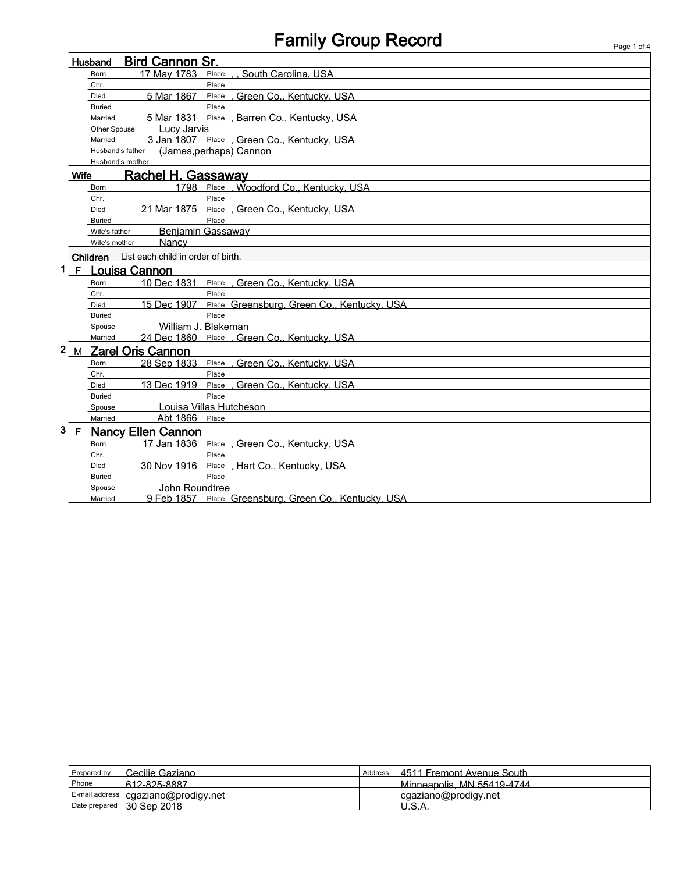## Family Group Record Page 1 of 4

|   |                                          | Husband                                     | <b>Bird Cannon Sr.</b>                      |                                                       |  |  |
|---|------------------------------------------|---------------------------------------------|---------------------------------------------|-------------------------------------------------------|--|--|
|   |                                          | Born                                        | 17 May 1783                                 | Place , , South Carolina, USA                         |  |  |
|   |                                          | Chr.                                        |                                             | Place                                                 |  |  |
|   |                                          | Died                                        | 5 Mar 1867                                  | Place, Green Co., Kentucky, USA                       |  |  |
|   |                                          | <b>Buried</b>                               |                                             | Place                                                 |  |  |
|   |                                          | Married                                     |                                             | 5 Mar 1831 Place, Barren Co., Kentucky, USA           |  |  |
|   |                                          | Other Spouse                                | <b>Lucy Jarvis</b>                          |                                                       |  |  |
|   |                                          | Married                                     |                                             | 3 Jan 1807 Place , Green Co., Kentucky, USA           |  |  |
|   |                                          | (James, perhaps) Cannon<br>Husband's father |                                             |                                                       |  |  |
|   |                                          | Husband's mother                            |                                             |                                                       |  |  |
|   | <b>Wife</b><br><b>Rachel H. Gassaway</b> |                                             |                                             |                                                       |  |  |
|   |                                          | <b>Born</b>                                 | 1798                                        | Place, Woodford Co., Kentucky, USA                    |  |  |
|   |                                          | Chr.                                        |                                             | Place                                                 |  |  |
|   |                                          | Died                                        | 21 Mar 1875                                 | Place, Green Co., Kentucky, USA                       |  |  |
|   |                                          | <b>Buried</b>                               |                                             | Place                                                 |  |  |
|   |                                          | Wife's father                               |                                             | Benjamin Gassaway                                     |  |  |
|   |                                          | Wife's mother                               | Nancy                                       |                                                       |  |  |
|   |                                          |                                             | Children List each child in order of birth. |                                                       |  |  |
| 1 |                                          | F   Louisa Cannon                           |                                             |                                                       |  |  |
|   |                                          | Born                                        |                                             | 10 Dec 1831 Place, Green Co., Kentucky, USA           |  |  |
|   |                                          | Chr.                                        |                                             | Place                                                 |  |  |
|   |                                          | Died                                        | 15 Dec 1907                                 | Place Greensburg, Green Co., Kentucky, USA            |  |  |
|   |                                          | <b>Buried</b>                               |                                             | Place                                                 |  |  |
|   |                                          | Spouse                                      |                                             | William J. Blakeman                                   |  |  |
|   |                                          | Married                                     |                                             | 24 Dec 1860 Place , Green Co., Kentucky, USA          |  |  |
| 2 | M                                        | <b>Zarel Oris Cannon</b>                    |                                             |                                                       |  |  |
|   |                                          | <b>Born</b>                                 | 28 Sep 1833                                 | Place, Green Co., Kentucky, USA                       |  |  |
|   |                                          | Chr.                                        |                                             | Place                                                 |  |  |
|   |                                          | Died                                        | 13 Dec 1919                                 | Place, Green Co., Kentucky, USA                       |  |  |
|   |                                          | <b>Buried</b>                               |                                             | Place                                                 |  |  |
|   |                                          | Spouse                                      |                                             | Louisa Villas Hutcheson                               |  |  |
|   |                                          | Married                                     | Abt 1866 Place                              |                                                       |  |  |
| 3 | $\mathsf F$                              | <b>Nancy Ellen Cannon</b>                   |                                             |                                                       |  |  |
|   |                                          | <b>Born</b>                                 |                                             | 17 Jan 1836 Place, Green Co., Kentucky, USA           |  |  |
|   |                                          | Chr.                                        |                                             | Place                                                 |  |  |
|   |                                          | <b>Died</b>                                 | 30 Nov 1916                                 | Place, Hart Co., Kentucky, USA                        |  |  |
|   |                                          | <b>Buried</b>                               |                                             | Place                                                 |  |  |
|   |                                          | Spouse                                      | John Roundtree                              |                                                       |  |  |
|   |                                          | Married                                     |                                             | 9 Feb 1857 Place Greensburg, Green Co., Kentucky, USA |  |  |

| Cecilie Gaziano<br>Prepared by      | 4511 Fremont Avenue South<br>Address |
|-------------------------------------|--------------------------------------|
| Phone<br>612-825-8887               | Minneapolis, MN 55419-4744           |
| E-mail address cgaziano@prodigy.net | cgaziano@prodigy.net                 |
| 30 Sep 2018<br>Date prepared        | ים ו                                 |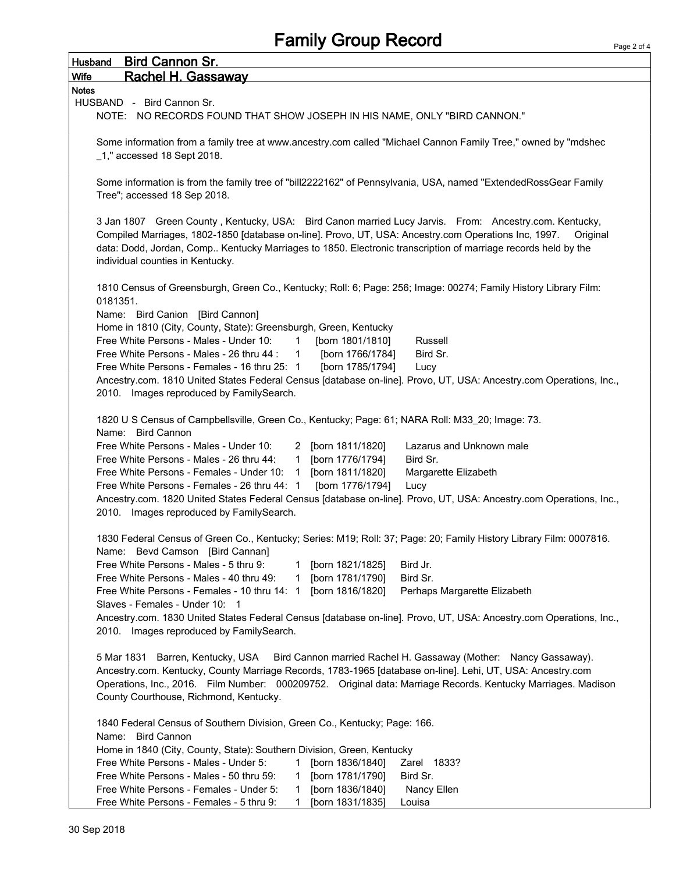| Husband      | <b>Bird Cannon Sr.</b>                                                                                                                                                                                                                                                                                                                                                         |
|--------------|--------------------------------------------------------------------------------------------------------------------------------------------------------------------------------------------------------------------------------------------------------------------------------------------------------------------------------------------------------------------------------|
| <b>Wife</b>  | <b>Rachel H. Gassaway</b>                                                                                                                                                                                                                                                                                                                                                      |
| <b>Notes</b> |                                                                                                                                                                                                                                                                                                                                                                                |
|              | HUSBAND - Bird Cannon Sr.                                                                                                                                                                                                                                                                                                                                                      |
|              | NOTE: NO RECORDS FOUND THAT SHOW JOSEPH IN HIS NAME, ONLY "BIRD CANNON."                                                                                                                                                                                                                                                                                                       |
|              | Some information from a family tree at www.ancestry.com called "Michael Cannon Family Tree," owned by "mdshec<br>$\_1$ ," accessed 18 Sept 2018.                                                                                                                                                                                                                               |
|              | Some information is from the family tree of "bill2222162" of Pennsylvania, USA, named "ExtendedRossGear Family<br>Tree"; accessed 18 Sep 2018.                                                                                                                                                                                                                                 |
|              | 3 Jan 1807 Green County, Kentucky, USA: Bird Canon married Lucy Jarvis. From: Ancestry.com. Kentucky,<br>Compiled Marriages, 1802-1850 [database on-line]. Provo, UT, USA: Ancestry.com Operations Inc, 1997.<br>Original<br>data: Dodd, Jordan, Comp Kentucky Marriages to 1850. Electronic transcription of marriage records held by the<br>individual counties in Kentucky. |
| 0181351.     | 1810 Census of Greensburgh, Green Co., Kentucky; Roll: 6; Page: 256; Image: 00274; Family History Library Film:                                                                                                                                                                                                                                                                |
|              | Name: Bird Canion [Bird Cannon]                                                                                                                                                                                                                                                                                                                                                |
|              | Home in 1810 (City, County, State): Greensburgh, Green, Kentucky                                                                                                                                                                                                                                                                                                               |
|              | Free White Persons - Males - Under 10:<br>$\overline{1}$<br>[born 1801/1810]<br>Russell                                                                                                                                                                                                                                                                                        |
|              | [born 1766/1784]<br>Free White Persons - Males - 26 thru 44 :<br>Bird Sr.<br>$\mathbf{1}$                                                                                                                                                                                                                                                                                      |
|              | Free White Persons - Females - 16 thru 25: 1<br>[born 1785/1794]<br>Lucy                                                                                                                                                                                                                                                                                                       |
|              | Ancestry.com. 1810 United States Federal Census [database on-line]. Provo, UT, USA: Ancestry.com Operations, Inc.,<br>2010. Images reproduced by FamilySearch.                                                                                                                                                                                                                 |
|              | 1820 U S Census of Campbellsville, Green Co., Kentucky; Page: 61; NARA Roll: M33_20; Image: 73.<br>Name: Bird Cannon                                                                                                                                                                                                                                                           |
|              | Free White Persons - Males - Under 10:<br>2 [born 1811/1820]<br>Lazarus and Unknown male                                                                                                                                                                                                                                                                                       |
|              | 1 [born 1776/1794]<br>Free White Persons - Males - 26 thru 44:<br>Bird Sr.                                                                                                                                                                                                                                                                                                     |
|              | Free White Persons - Females - Under 10: 1 [born 1811/1820]<br>Margarette Elizabeth                                                                                                                                                                                                                                                                                            |
|              | Free White Persons - Females - 26 thru 44: 1<br>[born 1776/1794]<br>Lucy<br>Ancestry.com. 1820 United States Federal Census [database on-line]. Provo, UT, USA: Ancestry.com Operations, Inc.,                                                                                                                                                                                 |
|              | 2010. Images reproduced by FamilySearch.                                                                                                                                                                                                                                                                                                                                       |
|              |                                                                                                                                                                                                                                                                                                                                                                                |
|              | 1830 Federal Census of Green Co., Kentucky; Series: M19; Roll: 37; Page: 20; Family History Library Film: 0007816.<br>Name: Bevd Camson [Bird Cannan]                                                                                                                                                                                                                          |
|              | Free White Persons - Males - 5 thru 9:<br>[born 1821/1825]<br>Bird Jr.<br>1                                                                                                                                                                                                                                                                                                    |
|              | Free White Persons - Males - 40 thru 49:<br>[born 1781/1790]<br>Bird Sr.<br>1                                                                                                                                                                                                                                                                                                  |
|              | Free White Persons - Females - 10 thru 14: 1<br>[born 1816/1820]<br>Perhaps Margarette Elizabeth                                                                                                                                                                                                                                                                               |
|              | Slaves - Females - Under 10: 1                                                                                                                                                                                                                                                                                                                                                 |
|              | Ancestry.com. 1830 United States Federal Census [database on-line]. Provo, UT, USA: Ancestry.com Operations, Inc.,                                                                                                                                                                                                                                                             |
|              | 2010. Images reproduced by FamilySearch.                                                                                                                                                                                                                                                                                                                                       |
|              | 5 Mar 1831 Barren, Kentucky, USA<br>Bird Cannon married Rachel H. Gassaway (Mother: Nancy Gassaway).<br>Ancestry.com. Kentucky, County Marriage Records, 1783-1965 [database on-line]. Lehi, UT, USA: Ancestry.com<br>Operations, Inc., 2016. Film Number: 000209752. Original data: Marriage Records. Kentucky Marriages. Madison<br>County Courthouse, Richmond, Kentucky.   |
|              | 1840 Federal Census of Southern Division, Green Co., Kentucky; Page: 166.                                                                                                                                                                                                                                                                                                      |
|              | Name: Bird Cannon<br>Home in 1840 (City, County, State): Southern Division, Green, Kentucky                                                                                                                                                                                                                                                                                    |
|              | Free White Persons - Males - Under 5:<br>[born 1836/1840]<br>Zarel 1833?<br>1.                                                                                                                                                                                                                                                                                                 |
|              | Free White Persons - Males - 50 thru 59:<br>[born 1781/1790]<br>1<br>Bird Sr.                                                                                                                                                                                                                                                                                                  |
|              | Free White Persons - Females - Under 5:<br>[born 1836/1840]<br>Nancy Ellen<br>1                                                                                                                                                                                                                                                                                                |
|              | Free White Persons - Females - 5 thru 9:<br>[born 1831/1835]<br>Louisa<br>1.                                                                                                                                                                                                                                                                                                   |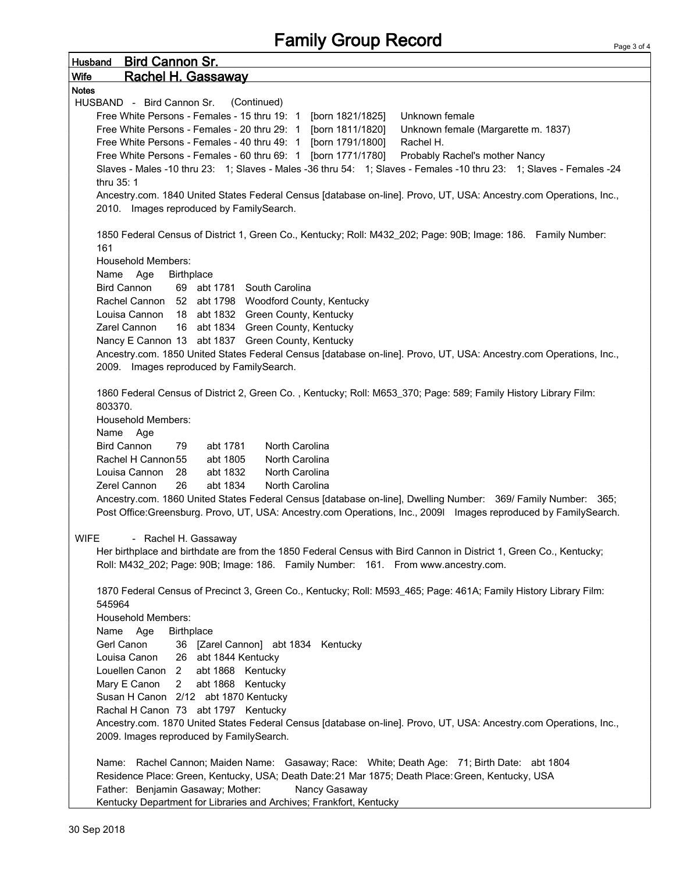| <b>Bird Cannon Sr.</b><br><b>Husband</b>                                                                                                                                                                                         |
|----------------------------------------------------------------------------------------------------------------------------------------------------------------------------------------------------------------------------------|
| <b>Wife</b><br>Rachel H. Gassaway                                                                                                                                                                                                |
| <b>Notes</b>                                                                                                                                                                                                                     |
| HUSBAND - Bird Cannon Sr.<br>(Continued)                                                                                                                                                                                         |
| Free White Persons - Females - 15 thru 19: 1 [born 1821/1825]<br>Unknown female                                                                                                                                                  |
| Free White Persons - Females - 20 thru 29: 1 [born 1811/1820]<br>Unknown female (Margarette m. 1837)                                                                                                                             |
| Free White Persons - Females - 40 thru 49: 1 [born 1791/1800]<br>Rachel H.                                                                                                                                                       |
| Free White Persons - Females - 60 thru 69: 1 [born 1771/1780] Probably Rachel's mother Nancy                                                                                                                                     |
| Slaves - Males -10 thru 23: 1; Slaves - Males -36 thru 54: 1; Slaves - Females -10 thru 23: 1; Slaves - Females -24                                                                                                              |
| thru 35: 1                                                                                                                                                                                                                       |
| Ancestry.com. 1840 United States Federal Census [database on-line]. Provo, UT, USA: Ancestry.com Operations, Inc.,                                                                                                               |
| 2010. Images reproduced by FamilySearch.                                                                                                                                                                                         |
| 1850 Federal Census of District 1, Green Co., Kentucky; Roll: M432_202; Page: 90B; Image: 186. Family Number:<br>161                                                                                                             |
| <b>Household Members:</b>                                                                                                                                                                                                        |
| Name Age<br><b>Birthplace</b>                                                                                                                                                                                                    |
| <b>Bird Cannon</b><br>69 abt 1781 South Carolina                                                                                                                                                                                 |
| Rachel Cannon 52 abt 1798 Woodford County, Kentucky                                                                                                                                                                              |
| Louisa Cannon 18 abt 1832 Green County, Kentucky                                                                                                                                                                                 |
| 16 abt 1834 Green County, Kentucky<br>Zarel Cannon                                                                                                                                                                               |
| Nancy E Cannon 13 abt 1837 Green County, Kentucky                                                                                                                                                                                |
| Ancestry.com. 1850 United States Federal Census [database on-line]. Provo, UT, USA: Ancestry.com Operations, Inc.,                                                                                                               |
| 2009. Images reproduced by FamilySearch.                                                                                                                                                                                         |
| 1860 Federal Census of District 2, Green Co., Kentucky; Roll: M653_370; Page: 589; Family History Library Film:<br>803370.                                                                                                       |
| <b>Household Members:</b>                                                                                                                                                                                                        |
| Name Age                                                                                                                                                                                                                         |
| <b>Bird Cannon</b><br>abt 1781<br>North Carolina<br>79                                                                                                                                                                           |
| North Carolina<br>Rachel H Cannon 55<br>abt 1805                                                                                                                                                                                 |
| Louisa Cannon<br>28<br>abt 1832<br>North Carolina                                                                                                                                                                                |
| Zerel Cannon<br>26<br>abt 1834<br><b>North Carolina</b>                                                                                                                                                                          |
| Ancestry.com. 1860 United States Federal Census [database on-line], Dwelling Number: 369/ Family Number: 365;<br>Post Office:Greensburg. Provo, UT, USA: Ancestry.com Operations, Inc., 2009l Images reproduced by FamilySearch. |
| <b>WIFE</b><br>- Rachel H. Gassaway                                                                                                                                                                                              |
| Her birthplace and birthdate are from the 1850 Federal Census with Bird Cannon in District 1, Green Co., Kentucky;<br>Roll: M432_202; Page: 90B; Image: 186. Family Number: 161. From www.ancestry.com.                          |
| 1870 Federal Census of Precinct 3, Green Co., Kentucky; Roll: M593_465; Page: 461A; Family History Library Film:<br>545964                                                                                                       |
| <b>Household Members:</b>                                                                                                                                                                                                        |
| Name Age<br><b>Birthplace</b>                                                                                                                                                                                                    |
| Gerl Canon<br>36 [Zarel Cannon] abt 1834 Kentucky                                                                                                                                                                                |
| Louisa Canon<br>26 abt 1844 Kentucky                                                                                                                                                                                             |
| Louellen Canon 2<br>abt 1868 Kentucky                                                                                                                                                                                            |
| $2^{\circ}$<br>abt 1868 Kentucky<br>Mary E Canon                                                                                                                                                                                 |
| Susan H Canon 2/12 abt 1870 Kentucky                                                                                                                                                                                             |
| Rachal H Canon 73 abt 1797 Kentucky                                                                                                                                                                                              |
| Ancestry.com. 1870 United States Federal Census [database on-line]. Provo, UT, USA: Ancestry.com Operations, Inc.,                                                                                                               |
| 2009. Images reproduced by FamilySearch.                                                                                                                                                                                         |
| Name: Rachel Cannon; Maiden Name: Gasaway; Race: White; Death Age: 71; Birth Date: abt 1804                                                                                                                                      |
| Residence Place: Green, Kentucky, USA; Death Date: 21 Mar 1875; Death Place: Green, Kentucky, USA                                                                                                                                |
| Father: Benjamin Gasaway; Mother:<br>Nancy Gasaway                                                                                                                                                                               |
| Kentucky Department for Libraries and Archives; Frankfort, Kentucky                                                                                                                                                              |